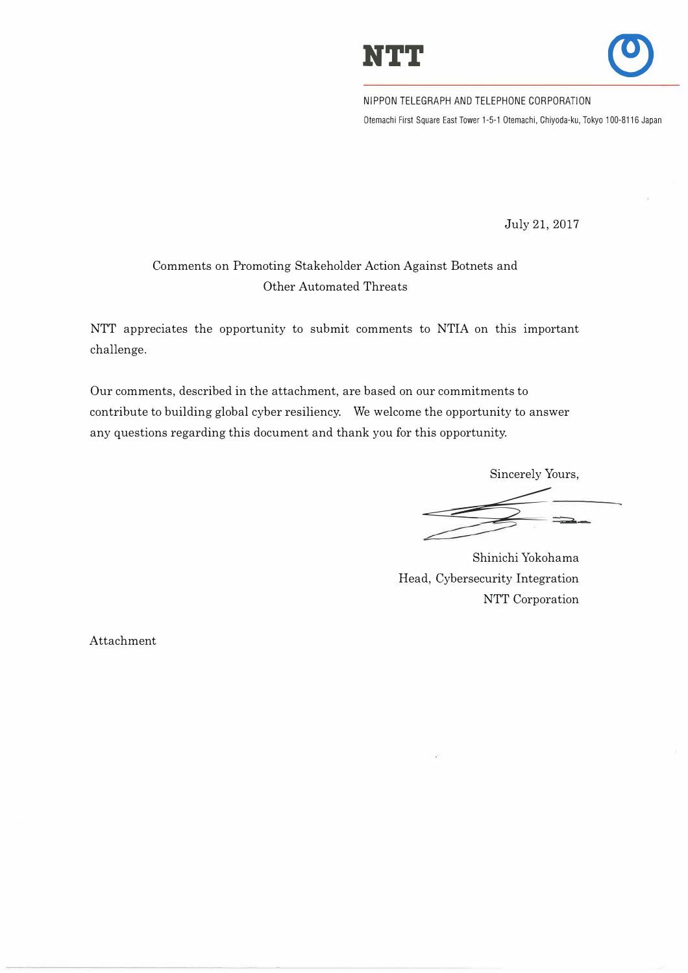



NIPPON TELEGRAPH AND TELEPHONE CORPORATION Otemachi First Square East Tower 1-5-1 Otemachi, Chiyoda-ku, Tokyo 100-8116 Japan

July 21, 2017

# Comments on Promoting Stakeholder Action Against Botnets and Other Automated Threats

NTT appreciates the opportunity to submit comments to NTIA on this important challenge.

Our comments, described in the attachment, are based on our commitments to contribute to building global cyber resiliency. We welcome the opportunity to answer any questions regarding this document and thank you for this opportunity.

> Sincerely Yours, �---:.:::c: *.=;i*

Shinichi Yokohama Head, Cybersecurity Integration NTT Corporation

Attachment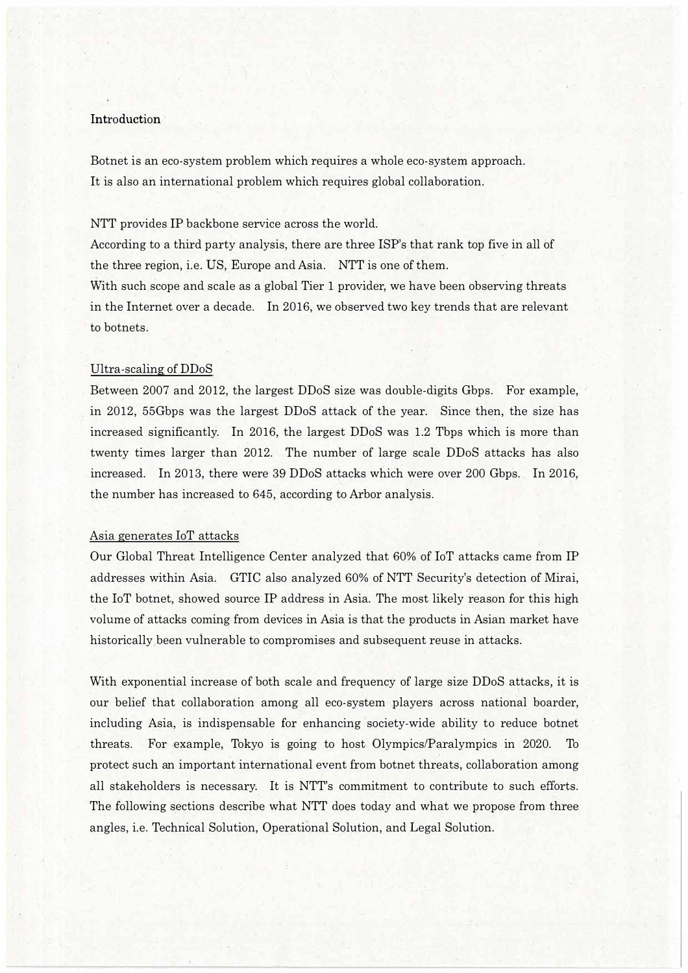## Introduction

Botnet is an eco-system problem which requires a whole eco-system approach. It is also an international problem which requires global collaboration.

NTT provides IP backbone service across the world.

According to a third party analysis, there are three ISP's that rank top five in all of the three region, i.e. US, Europe and Asia. NTT is one of them.

With such scope and scale as a global Tier 1 provider, we have been observing threats in the Internet over a decade. In 2016, we observed two key trends that are relevant to botnets.

#### Ultra-scaling of DDoS

Between 2007 and 2012, the largest DDoS size was double-digits Gbps. For example, in 2012, 55Gbps was the largest DDoS attack of the year. Since then, the size has increased significantly. In 2016, the largest DDoS was 1.2 Tbps which is more than twenty times larger than 2012. The number of large scale DDoS attacks has also increased. In 2013, there were 39 DDoS attacks which were over 200 Gbps. In 2016, the number has increased to 645, according to Arbor analysis.

## Asia generates loT attacks

Our Global Threat Intelligence Center analyzed that 60% of IoT attacks came from IP addresses within Asia. GTIC also analyzed 60% of NTT Security's detection of Mirai, the IoT botnet, showed source IP address in Asia. The most likely reason for this high volume of attacks coming from devices in Asia is that the products in Asian market have historically been vuinerable to compromises and subsequent reuse in attacks.

With exponential increase of both scale and frequency of large size DDoS attacks, it is our belief that collaboration among all eco-system players across national boarder, including Asia, is indispensable for enhancing society-wide ability to reduce botnet threats. For example, Tokyo is going to host Olympics/Paralympics in 2020. To protect such an important international event from botnet threats, collaboration among all stakeholders is necessary. It is NTT's commitment to contribute to such efforts. The following sections describe what NTT does today and what we propose from three angles, i.e. Technical Solution, Operational Solution, and Legal Solution.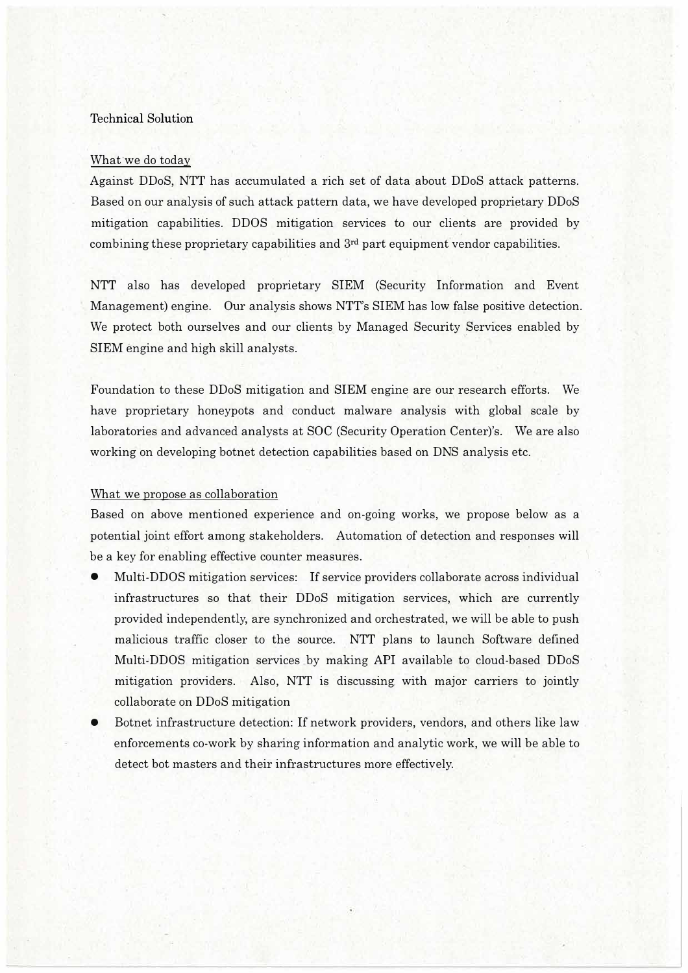# Technical Solution

# What we do today

Against DDoS, NTT has accumulated a rich set of data about DDoS attack patterns. Based on our analysis of such attack pattern data, we have developed proprietary DDoS mitigation capabilities. DDOS mitigation services to our clients are provided by combining these proprietary capabilities and  $3<sup>rd</sup>$  part equipment vendor capabilities.

NTT also has developed proprietary SIEM (Security Information and Event Management) engine. Our analysis shows NTT's SIEM has low false positive detection. We protect both ourselves and our clients by Managed Security Services enabled by SIEM engine and high skill analysts.

Foundation to these DDoS mitigation and SIEM engine are our research efforts. We have proprietary honeypots and conduct malware analysis with global scale by laboratories and advanced analysts at SOC (Security Operation Center)'s. We are also working on developing botnet detection capabilities based on DNS analysis etc.

## What we propose as collaboration

Based on above mentioned experience and on-going works, we propose below as a potential joint effort among stakeholders. Automation of detection and responses will be a key for enabling effective counter measures.

- Multi-DDOS mitigation services: If service providers collaborate across individual infrastructures so that their DDoS mitigation services, which are currently provided independently, are synchronized and orchestrated, we will be able to push malicious traffic closer to the source. NTT plans to launch Software defined Multi-DDOS mitigation services by making API available to cloud-based DDoS mitigation providers. Also, NTT is discussing with major carriers to jointly collaborate on DDoS mitigation
- Botnet infrastructure detection: If network providers, vendors, and others like law enforcements co-work by sharing information and analytic work, we will be able to detect bot masters and their infrastructures more effectively.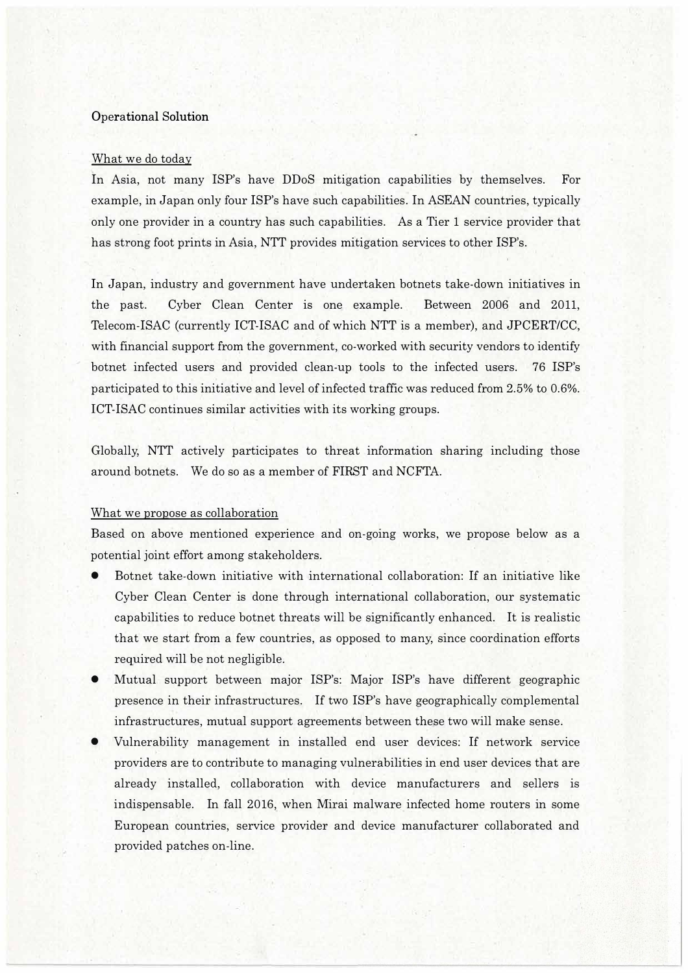## Operational Solution

## What we do today

In Asia, not many ISP's have DDoS mitigation capabilities by themselves. For example, in Japan only four ISP's have such capabilities. In ASEAN countries, typically only one provider in a country has such capabilities. As a Tier 1 service provider that has strong foot prints in Asia, NTT provides mitigation services to other ISP's.

In Japan, industry and government have undertaken botnets take-down initiatives in the past. Cyber Clean Center is one example. Between 2006 and 2011, Telecom-ISAC (currently ICT-ISAC and of which NTT is a member), and JPCERT/CC, with financial support from the government, co-worked with security vendors to identify botnet infected users and provided clean-up tools to the infected users. 76 ISP's participated to this initiative and level of infected traffic was reduced from 2.5% to 0.6%. !CT-ISAC continues similar activities with its working groups.

Globally, NTT actively participates to threat information sharing including those around botnets. We do so as a member of FIRST and NCFTA.

## What we propose as collaboration

Based on above mentioned experience and on-going works, we propose below as a potential joint effort among stakeholders.

- Botnet take-down initiative with international collaboration: If an initiative like Cyber Clean Center is done through international collaboration, our systematic capabilities to reduce botnet threats will be significantly enhanced. It is realistic that we start from a few countries, as opposed to many, since coordination efforts required will be not negligible.
- Mutual support between major ISP's: Major ISP's have different geographic presence in their infrastructures. If two ISP's have geographically complemental infrastructures, mutual support agreements between these two will make sense.
- Vulnerability management in installed end user devices: If network service providers are to contribute to managing vulnerabilities in end user devices that are already installed, collaboration with device manufacturers and sellers is indispensable. In fall 2016, when Mirai malware infected home routers in some European countries, service provider and device manufacturer collaborated and provided patches on-line.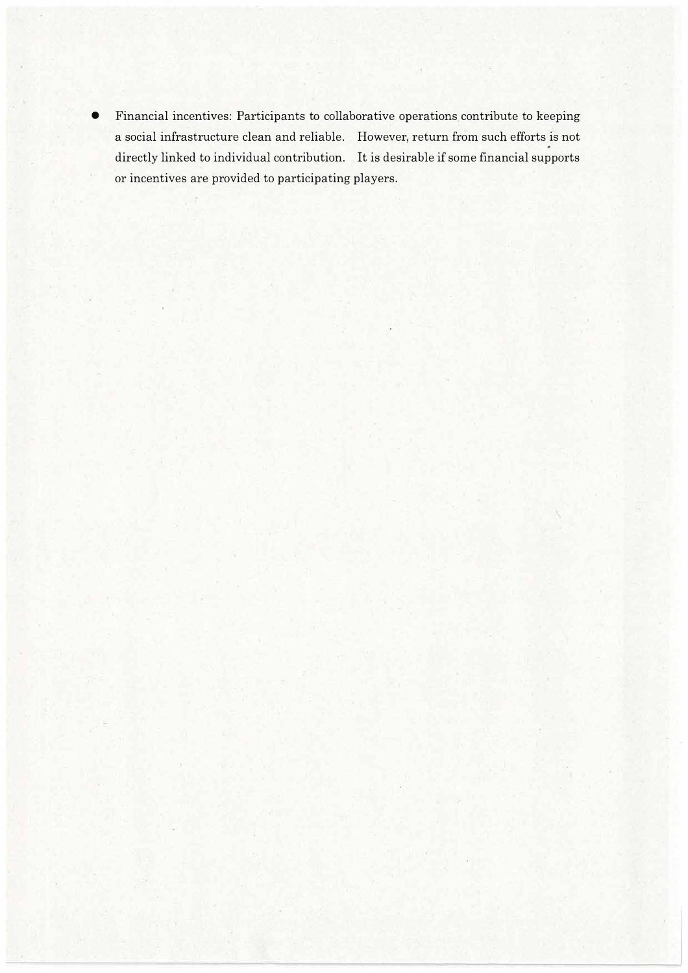• Financial incentives: Participants to collaborative operations contribute to keeping a social infrastructure clean and reliable. However, return from such efforts is not directly linked to individual contribution. It is desirable if some financial supports or incentives are provided to participating players.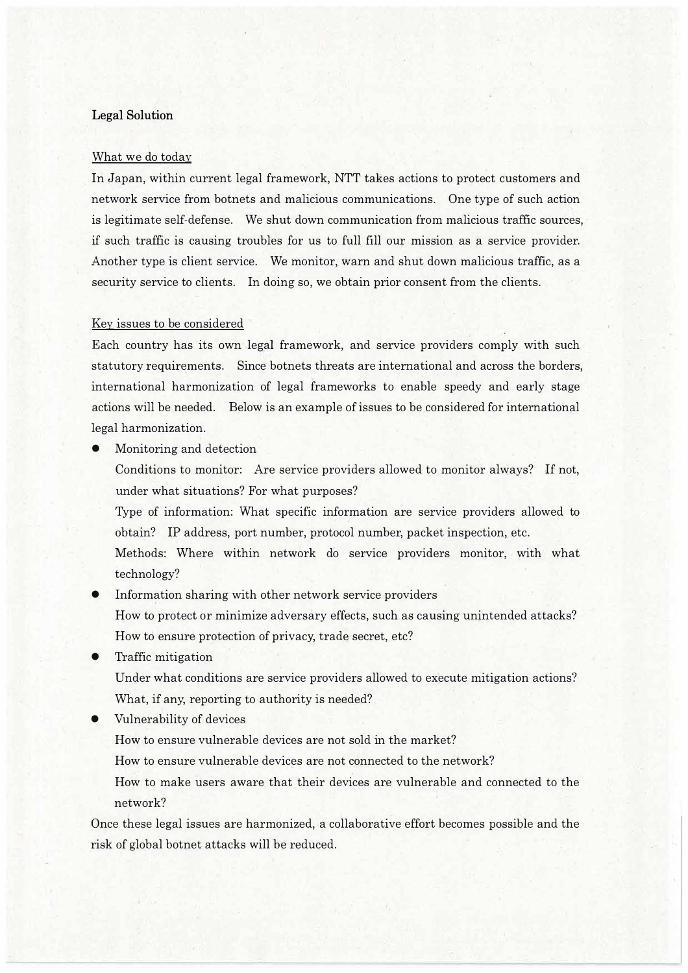# **Legal Solution**

#### What we do today

In Japan, within current legal framework, NTT takes actions to protect customers and network service from botnets and malicious communications. One type of such action is legitimate self-defense. We shut down communication from malicious traffic sources, if such traffic is causing troubles for us to full fill our mission as a service provider. Another type is client service. We monitor, warn and shut down malicious traffic, as a security service to clients. In doing so, we obtain prior consent from the clients.

## Key issues to be considered

Each country has its own legal framework, and service providers comply with such statutory requirements. Since botnets threats are international and across the borders, international harmonization of legal frameworks to enable speedy and early stage actions will be needed. Below is an example of issues to be considered for international legal harmonization.

• Monitoring and detection

Conditions to monitor: Are service providers allowed to monitor always? If not, under what situations? For what purposes?

Type of information: What specific information are service providers allowed to obtain? IP address, port number, protocol number, packet inspection, etc.

Methods: Where within network do service providers monitor, with what technology?

- Information sharing with other network service providers How to protect or minimize adversary effects, such as causing unintended attacks? How to ensure protection of privacy, trade secret, etc?
- Traffic mitigation

Under what conditions are service providers allowed to execute mitigation actions? What, if any, reporting to authority is needed?

• Vulnerability of devices

How to ensure vulnerable devices are not sold in the market?

How to ensure vulnerable devices are not connected to the network?

How to make users aware that their devices are vulnerable and connected to the network?

Once these legal issues are harmonized, a collaborative effort becomes possible and the risk of global botnet attacks will be reduced.